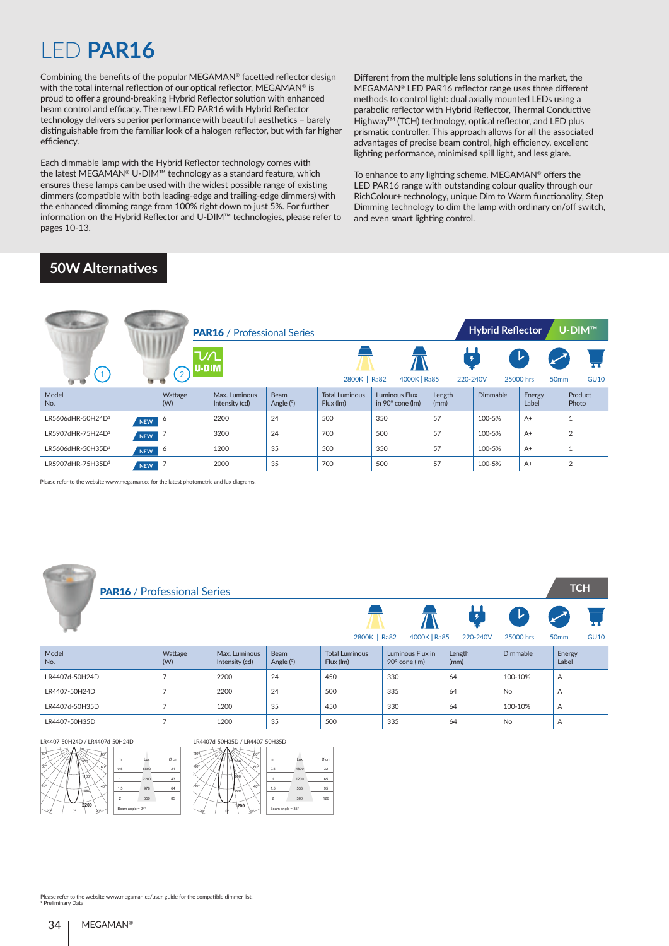# LED **PAR16**

Combining the benefits of the popular MEGAMAN® facetted reflector design with the total internal reflection of our optical reflector, MEGAMAN® is proud to offer a ground-breaking Hybrid Reflector solution with enhanced beam control and efficacy. The new LED PAR16 with Hybrid Reflector technology delivers superior performance with beautiful aesthetics – barely distinguishable from the familiar look of a halogen reflector, but with far higher efficiency.

Each dimmable lamp with the Hybrid Reflector technology comes with the latest MEGAMAN® U-DIM™ technology as a standard feature, which ensures these lamps can be used with the widest possible range of existing dimmers (compatible with both leading-edge and trailing-edge dimmers) with the enhanced dimming range from 100% right down to just 5%. For further information on the Hybrid Reflector and U-DIM™ technologies, please refer to pages 10-13.

Different from the multiple lens solutions in the market, the MEGAMAN® LED PAR16 reflector range uses three different methods to control light: dual axially mounted LEDs using a parabolic reflector with Hybrid Reflector, Thermal Conductive Highway™ (TCH) technology, optical reflector, and LED plus prismatic controller. This approach allows for all the associated advantages of precise beam control, high efficiency, excellent lighting performance, minimised spill light, and less glare.

To enhance to any lighting scheme, MEGAMAN® offers the LED PAR16 range with outstanding colour quality through our RichColour+ technology, unique Dim to Warm functionality, Step Dimming technology to dim the lamp with ordinary on/off switch, and even smart lighting control.

#### **50W Alternatives**

|                               |            |                | <b>PAR16</b> / Professional Series |                            |                                    |                                          |                | <b>Hybrid Reflector</b> |                                    | U-DIM™           |
|-------------------------------|------------|----------------|------------------------------------|----------------------------|------------------------------------|------------------------------------------|----------------|-------------------------|------------------------------------|------------------|
| $\left( 1 \right)$            |            | ∩/ר<br>U-D M   |                                    |                            | 2800K   Ra82                       | 4000K   Ra85                             | 220-240V       |                         | ▸<br>25000 hrs<br>50 <sub>mm</sub> | <b>GU10</b>      |
| Model<br>No.                  |            | Wattage<br>(W) | Max. Luminous<br>Intensity (cd)    | <b>Beam</b><br>Angle $(°)$ | <b>Total Luminous</b><br>Flux (lm) | Luminous Flux<br>in $90^\circ$ cone (lm) | Length<br>(mm) | Dimmable                | Energy<br>Label                    | Product<br>Photo |
| LR5606dHR-50H24D <sup>1</sup> | <b>NEW</b> | 6              | 2200                               | 24                         | 500                                | 350                                      | 57             | 100-5%                  | $A+$                               |                  |
| LR5907dHR-75H24D <sup>1</sup> | <b>NEW</b> |                | 3200                               | 24                         | 700                                | 500                                      | 57             | 100-5%                  | $A+$                               | 2                |
| LR5606dHR-50H35D <sup>1</sup> | <b>NEW</b> | 6              | 1200                               | 35                         | 500                                | 350                                      | 57             | 100-5%                  | $A+$                               |                  |
| LR5907dHR-75H35D1             | <b>NEW</b> |                | 2000                               | 35                         | 700                                | 500                                      | 57             | 100-5%                  | $A+$                               | 2                |

Please refer to the website www.megaman.cc for the latest photometric and lux diagrams.

| <b>PAR16</b> / Professional Series |                |                                 |                     |                                    |                                   |                |                | <b>TCH</b>       |             |
|------------------------------------|----------------|---------------------------------|---------------------|------------------------------------|-----------------------------------|----------------|----------------|------------------|-------------|
|                                    |                |                                 |                     | 2800K   Ra82                       | 4000K   Ra85                      | 220-240V       | レ<br>25000 hrs | 50 <sub>mm</sub> | <b>GU10</b> |
| Model<br>No.                       | Wattage<br>(W) | Max. Luminous<br>Intensity (cd) | Beam<br>Angle $(°)$ | <b>Total Luminous</b><br>Flux (lm) | Luminous Flux in<br>90° cone (lm) | Length<br>(mm) | Dimmable       | Energy<br>Label  |             |
| LR4407d-50H24D                     | $\overline{7}$ | 2200                            | 24                  | 450                                | 330                               | 64             | 100-10%        | Α                |             |
| LR4407-50H24D                      | $\overline{7}$ | 2200                            | 24                  | 500                                | 335                               | 64             | <b>No</b>      | A                |             |
| LR4407d-50H35D                     | $\overline{7}$ | 1200                            | 35                  | 450                                | 330                               | 64             | 100-10%        | Α                |             |
| LR4407-50H35D                      | $\overline{7}$ | 1200                            | 35                  | 500                                | 335                               | 64             | <b>No</b>      | Α                |             |

20º 0º 20º LR4407-50H24D / LR4407d-50H24D

**COLLECT** 





Please refer to the website www.megaman.cc/user-guide for the compatible dimmer list.

1 Preliminary Data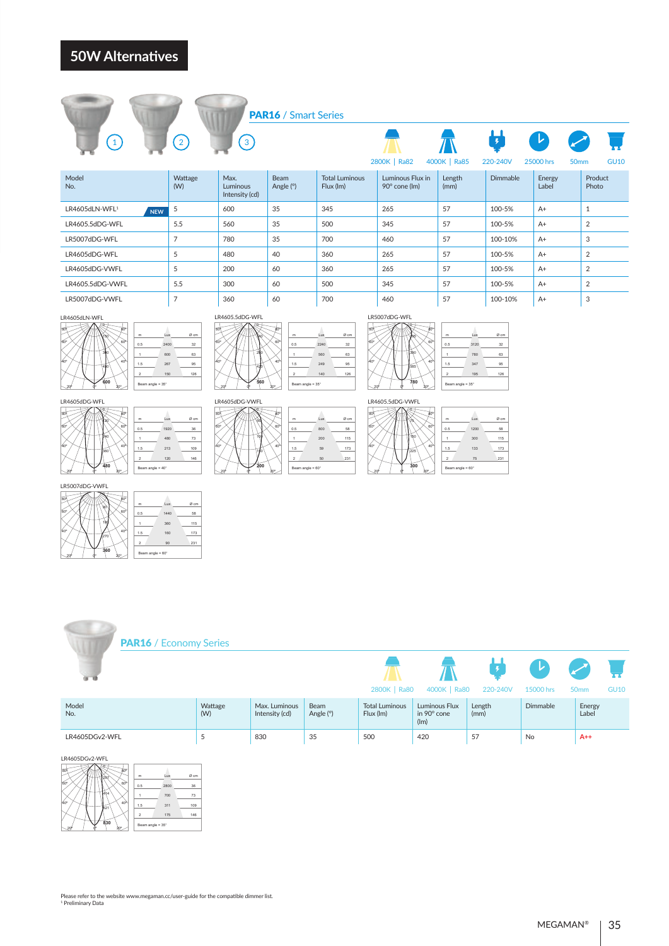

Ø cm  $\frac{32}{2}$ 63 95 60º 126

Lux 2240 560



LR4605dDG-WFL 0.5 80º 1 1.5

-v  $\lambda$ TТ 267 150

 $\sqrt{1}$ 

40º 60º

LR5007dDG-VWFL 0.5 1  $\overline{\phantom{a}}$ 

20º 0º 20º

 $\sim$ TT 213 120

180 270 **360**

20º 0º 20º

Beam angle = 60°

240 360 **480**

 $\sqrt{4}$ 

40º 60º 80º

7  $^{\star}$ 126

40º 60º 80º 120  $\overline{\mathbf{0}}$ 

40º 60º 80º 90 0

0.5 1.5 2 Beam angle = 60°

| 颌  |                  |      |      |
|----|------------------|------|------|
|    | m                | Lux  | Ø cm |
| 60 | 0.5              | 2400 | 32   |
|    |                  | 600  | 63   |
| 40 | 1.5              | 267  | 95   |
|    | $\overline{2}$   | 150  | 126  |
|    | Beam angle = 35° |      |      |
|    |                  |      |      |

| 1.5              | 267  | 95   | നേ |
|------------------|------|------|----|
| $\overline{2}$   | 150  | 126  |    |
| Beam angle = 35° |      |      |    |
|                  |      |      | LR |
|                  |      |      |    |
|                  |      |      | 80 |
| m                | Lux  | Ø cm |    |
| 0.5              | 1920 | 36   |    |



0.5 80º 1  $\overline{\phantom{a}}$  $\overline{\phantom{a}}$  $\sqrt{11}$ 40º 60º

60º 80º



60º 80º 140 0

m  $^{0.5}$ 1

280

150





LR4605.5dDG-VWFL

20º 0º 20º

5. let TT  $\mathbf{1}$  $\overline{1}$ 

75  $\epsilon$ 

150 225 **300**

20º 0º 20º

n. 1 60º 1.5  $\overline{a}$  $\sqrt{8}$ 

80º

40º

40º 60º 80º

Ø cm  $\frac{32}{2}$ 63 95 60º 126 Beam angle = 35° Lux 3120 780 347 195

7 75 126 40º 60º 80º Ø cm 115 173 m 0.5 1 1.5 2 Beam angle = 60° Lux 1200 <sub>30</sub> 133 75

58

231

|                | <b>PAR16</b> / Economy Series |                |                                 |                   |                                    |                                      |                            |                                                |                                                |             |
|----------------|-------------------------------|----------------|---------------------------------|-------------------|------------------------------------|--------------------------------------|----------------------------|------------------------------------------------|------------------------------------------------|-------------|
| का क           |                               |                |                                 |                   | 2800K   Ra80                       | 4000K   Ra80                         | $\overline{f}$<br>220-240V | $\left  \mathbf{v} \right\rangle$<br>15000 hrs | $\boldsymbol{\mathcal{F}}$<br>50 <sub>mm</sub> | <b>GU10</b> |
| Model<br>No.   |                               | Wattage<br>(W) | Max. Luminous<br>Intensity (cd) | Beam<br>Angle (°) | <b>Total Luminous</b><br>Flux (lm) | Luminous Flux<br>in 90° cone<br>(lm) | Length<br>(mm)             | Dimmable                                       | Energy<br>Label                                |             |
| LR4605DGv2-WFL |                               | 5              | 830                             | 35                | 500                                | 420                                  | 57                         | No                                             | $A++$                                          |             |
|                |                               |                |                                 |                   |                                    |                                      |                            |                                                |                                                |             |

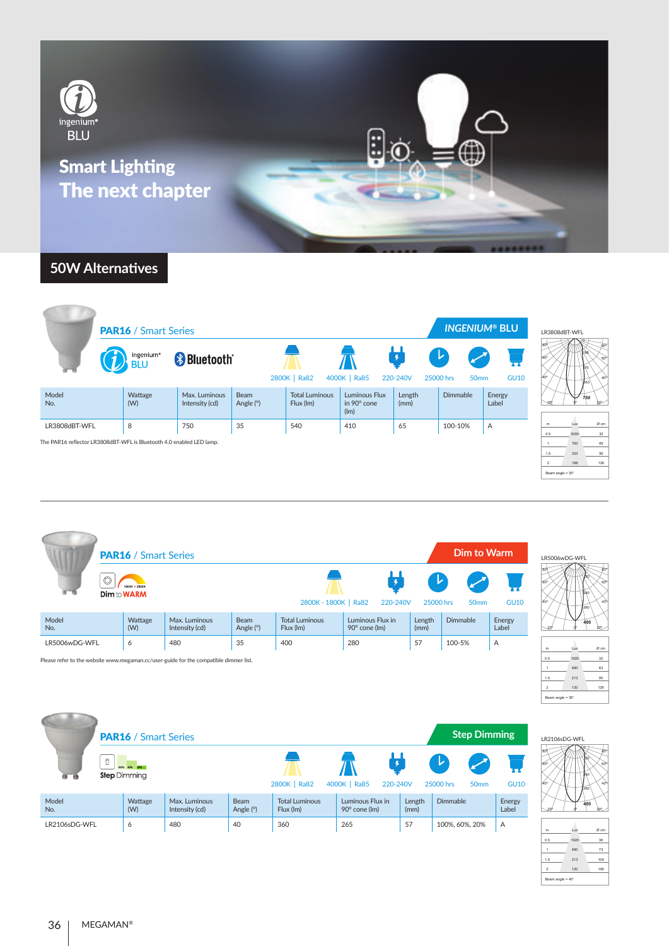

|                     | ingenium <sup>®</sup> |                                 |                   |                                    |                                      |                           |                                                |                 |
|---------------------|-----------------------|---------------------------------|-------------------|------------------------------------|--------------------------------------|---------------------------|------------------------------------------------|-----------------|
|                     | <b>BLU</b>            | <b>B</b> Bluetooth®             |                   | 2800K   Ra82                       | 4000K   Ra85                         | $\frac{1}{2}$<br>220-240V | $\mathcal{L}$<br>25000 hrs<br>50 <sub>mm</sub> | <b>GU10</b>     |
| Model<br>No.<br>(W) | Wattage               | Max. Luminous<br>Intensity (cd) | Beam<br>Angle (°) | <b>Total Luminous</b><br>Flux (lm) | Luminous Flux<br>in 90° cone<br>(lm) | Length<br>(mm)            | <b>Dimmable</b>                                | Energy<br>Label |
| 8<br>LR3808dBT-WFL  |                       | 750                             | 35                | 540                                | 410                                  | 65                        | 100-10%                                        | $\overline{A}$  |

| LR3808dBT-WFL                                 |
|-----------------------------------------------|
| 80<br>ŔΩ<br>60<br>60<br>5<br>40<br>563<br>750 |
|                                               |

| m                | Lux  | Ø cm |  |  |  |  |  |
|------------------|------|------|--|--|--|--|--|
| 0.5              | 3000 | 32   |  |  |  |  |  |
| 1                | 750  | 65   |  |  |  |  |  |
| 1.5              | 333  | 95   |  |  |  |  |  |
| $\overline{2}$   | 188  | 126  |  |  |  |  |  |
| Beam angle = 35° |      |      |  |  |  |  |  |

|               | <b>PAR16</b> / Smart Series |                                                                                       |                          |                                    |                                   |                                          | Dim to Warm      |                 | LR5006wDG-WFL     |
|---------------|-----------------------------|---------------------------------------------------------------------------------------|--------------------------|------------------------------------|-----------------------------------|------------------------------------------|------------------|-----------------|-------------------|
|               | SOOK + 2800K<br>Dim to WARM |                                                                                       |                          | 2800K - 1800K   Ra82               | 220-240V                          | $\left  \mathbf{r} \right $<br>25000 hrs | 50 <sub>mm</sub> | <b>GU10</b>     | 360               |
| Model<br>No.  | Wattage<br>(W)              | Max. Luminous<br>Intensity (cd)                                                       | <b>Beam</b><br>Angle (°) | <b>Total Luminous</b><br>Flux (Im) | Luminous Flux in<br>90° cone (lm) | Length<br>(mm)                           | Dimmable         | Energy<br>Label | 480               |
| LR5006wDG-WFL | 6                           | 480                                                                                   | 35                       | 400                                | 280                               | 57                                       | 100-5%           | $\overline{A}$  | Øcr<br>Lux<br>m   |
|               |                             | Please refer to the website www.megaman.cc/user-guide for the compatible dimmer list. |                          |                                    |                                   |                                          |                  |                 | 32<br>0.5<br>1920 |

| LR5006wDG-WFL |    |
|---------------|----|
| 80            | έō |
| 60            | 6Ò |
| ١ń<br>40°     | 40 |
| 360           |    |
| 480           |    |
|               |    |

| m                | Lux  | Ø cm |  |  |  |  |  |
|------------------|------|------|--|--|--|--|--|
| 0.5              | 1920 | 32   |  |  |  |  |  |
| 1                | 480  | 63   |  |  |  |  |  |
| 1.5              | 213  | 95   |  |  |  |  |  |
| $\overline{2}$   | 120  | 126  |  |  |  |  |  |
| Beam angle = 35° |      |      |  |  |  |  |  |
|                  |      |      |  |  |  |  |  |

|               | <b>PAR16</b> / Smart Series         |                                 |                          |                                    |                                   |                | <b>Step Dimming</b>                                    |                 | LR2106sDG-WFL |
|---------------|-------------------------------------|---------------------------------|--------------------------|------------------------------------|-----------------------------------|----------------|--------------------------------------------------------|-----------------|---------------|
| O             | 100% 60% 20%<br><b>Step Dimming</b> |                                 |                          | 2800K   Ra82                       | 4000K   Ra85<br>220-240V          |                | $\blacktriangleright$<br>25000 hrs<br>50 <sub>mm</sub> | <b>GU10</b>     | 360           |
| Model<br>No.  | Wattage<br>(W)                      | Max. Luminous<br>Intensity (cd) | <b>Beam</b><br>Angle (°) | <b>Total Luminous</b><br>Flux (lm) | Luminous Flux in<br>90° cone (lm) | Length<br>(mm) | Dimmable                                               | Energy<br>Label | 480           |
| LR2106sDG-WFL | 6                                   | 480                             | 40                       | 360                                | 265                               | 57             | 100%, 60%, 20%                                         | $\overline{A}$  | Øcr<br>Lux    |



| m                       | Lux  | Ø cm |  |  |  |  |  |
|-------------------------|------|------|--|--|--|--|--|
| 0.5                     | 1920 | 36   |  |  |  |  |  |
| 1                       | 480  | 73   |  |  |  |  |  |
| 1.5                     | 213  | 109  |  |  |  |  |  |
| $\overline{2}$          | 120  | 146  |  |  |  |  |  |
| Beam angle = $40^\circ$ |      |      |  |  |  |  |  |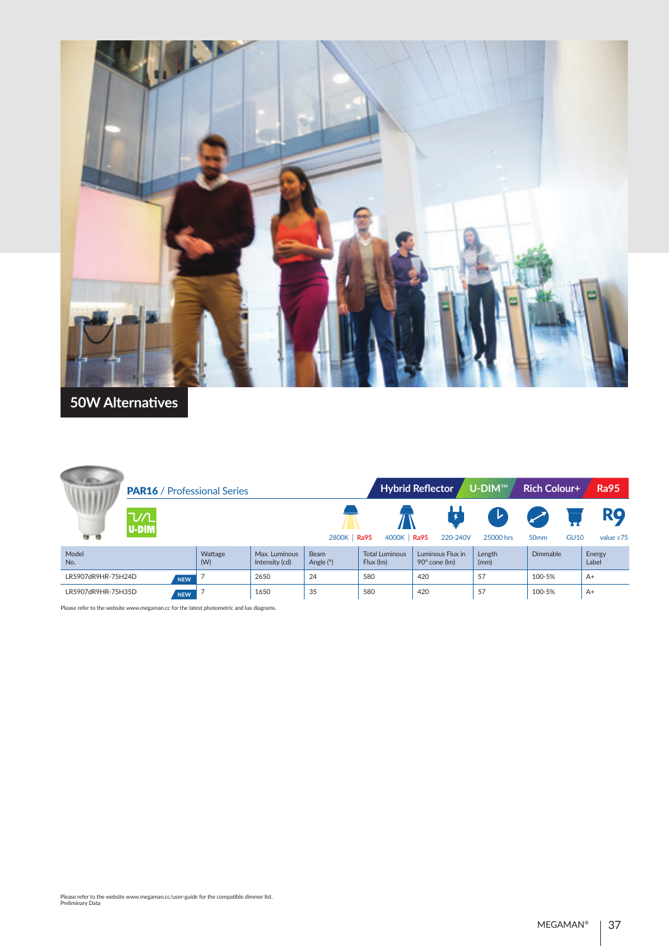

|                                  |            | <b>PAR16</b> / Professional Series |                                 |                            |                                    | <b>Hybrid Reflector</b><br>U-DIM™ | <b>Rich Colour+</b> | <b>Ra95</b>                     |                              |
|----------------------------------|------------|------------------------------------|---------------------------------|----------------------------|------------------------------------|-----------------------------------|---------------------|---------------------------------|------------------------------|
| ∆∕ע<br>U-DIM<br><b>Page 1999</b> |            |                                    |                                 | 2800K   Ra95               | 4000K   Ra95                       | 220-240V                          | レ<br>25000 hrs      | <b>GU10</b><br>50 <sub>mm</sub> | <b>RQ</b><br>value $\geq 75$ |
| Model<br>No.                     |            | Wattage<br>(W)                     | Max. Luminous<br>Intensity (cd) | <b>Beam</b><br>Angle $(°)$ | <b>Total Luminous</b><br>Flux (lm) | Luminous Flux in<br>90° cone (lm) | Length<br>(mm)      | <b>Dimmable</b>                 | Energy<br>Label              |
| LR5907dR9HR-75H24D               | <b>NEW</b> |                                    | 2650                            | 24                         | 580                                | 420                               | 57                  | 100-5%                          | $A+$                         |
| LR5907dR9HR-75H35D               | <b>NEW</b> |                                    | 1650                            | 35                         | 580                                | 420                               | 57                  | 100-5%                          | $A+$                         |

Please refer to the website www.megaman.cc for the latest photometric and lux diagrams.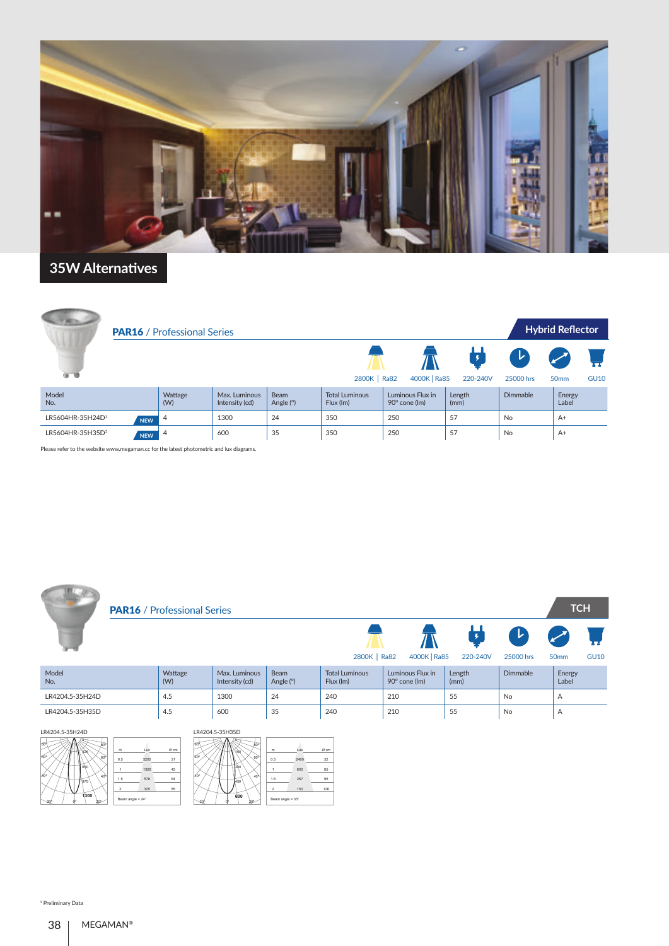

| <b>PAR16</b> / Professional Series |            |                |                                 |                   |                                    |                                   |                |                 | <b>Hybrid Reflector</b>              |             |  |
|------------------------------------|------------|----------------|---------------------------------|-------------------|------------------------------------|-----------------------------------|----------------|-----------------|--------------------------------------|-------------|--|
| v                                  |            |                |                                 |                   | 2800K   Ra82                       | 4000K   Ra85                      | Ļ<br>220-240V  | V)<br>25000 hrs | $\boldsymbol{z}$<br>50 <sub>mm</sub> | <b>GU10</b> |  |
| Model<br>No.                       |            | Wattage<br>(W) | Max. Luminous<br>Intensity (cd) | Beam<br>Angle (°) | <b>Total Luminous</b><br>Flux (Im) | Luminous Flux in<br>90° cone (lm) | Length<br>(mm) | Dimmable        | Energy<br>Label                      |             |  |
| LR5604HR-35H24D <sup>1</sup>       | <b>NEW</b> | $\overline{4}$ | 1300                            | 24                | 350                                | 250                               | 57             | <b>No</b>       | $A+$                                 |             |  |
| LR5604HR-35H35D <sup>1</sup>       | <b>NEW</b> | $\overline{4}$ | 600                             | 35                | 350                                | 250                               | 57             | No              | $A+$                                 |             |  |

Please refer to the website www.megaman.cc for the latest photometric and lux diagrams.

|                 | <b>PAR16</b> / Professional Series |                                 |                          |                                    |                                   |                |                            | <b>TCH</b>                                     |             |
|-----------------|------------------------------------|---------------------------------|--------------------------|------------------------------------|-----------------------------------|----------------|----------------------------|------------------------------------------------|-------------|
|                 |                                    |                                 |                          | 2800K   Ra82                       | 4000K   Ra85                      | 220-240V       | $\mathcal{L}$<br>25000 hrs | $\boldsymbol{\mathcal{F}}$<br>50 <sub>mm</sub> | <b>GU10</b> |
| Model<br>No.    | Wattage<br>(W)                     | Max. Luminous<br>Intensity (cd) | <b>Beam</b><br>Angle (°) | <b>Total Luminous</b><br>Flux (lm) | Luminous Flux in<br>90° cone (lm) | Length<br>(mm) | Dimmable                   | Energy<br>Label                                |             |
| LR4204.5-35H24D | 4.5                                | 1300                            | 24                       | 240                                | 210                               | 55             | <b>No</b>                  | A                                              |             |
| LR4204.5-35H35D | 4.5                                | 600                             | 35                       | 240                                | 210                               | 55             | No                         | A                                              |             |

| LR4204.5-35H24D                           |                  |      |        | LR4204.5-35H35D                                      |        |
|-------------------------------------------|------------------|------|--------|------------------------------------------------------|--------|
| <b>BO</b><br>80                           | m                | Lux  | $Ø$ cm | <b>BO</b><br>80<br>Lux<br>m                          | $Ø$ cm |
| 826<br>160°<br>60°                        | 0.5              | 5200 | 21     | <b>MAC</b><br>160°<br>60°<br>0.5<br>2400             | 32     |
| 650                                       |                  | 1300 | 43     | 300<br>600                                           | 65     |
| Ac <sup>o</sup><br>40 <sup>o</sup><br>975 | 1.5              | 578  | 64     | $40^{\circ}$<br>40 <sup>%</sup><br>267<br>1.5<br>450 | 95     |
|                                           | 2                | 325  | 85     | 150<br>$\overline{a}$                                | 126    |
| 1300<br><b>bne</b><br>эr                  | Beam angle = 24° |      |        | 600<br>Beam angle = 35°<br>2œ                        |        |